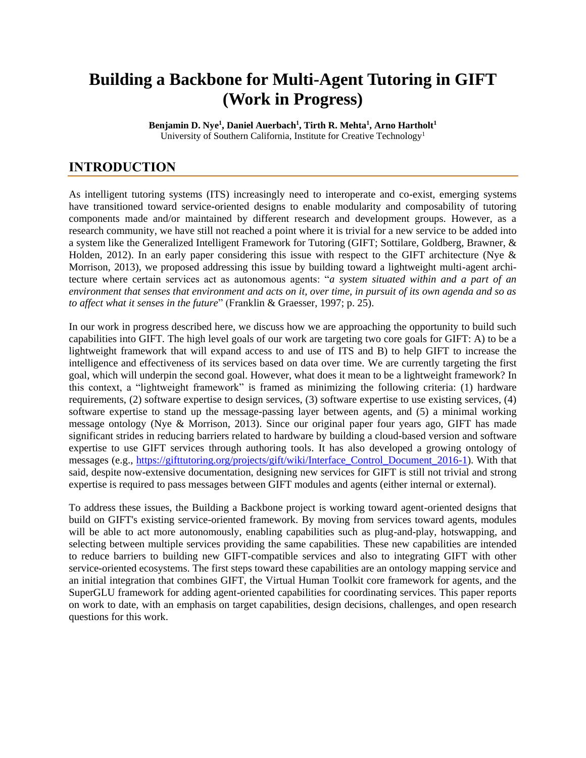# **Building a Backbone for Multi-Agent Tutoring in GIFT (Work in Progress)**

**Benjamin D. Nye<sup>1</sup> , Daniel Auerbach<sup>1</sup> , Tirth R. Mehta<sup>1</sup> , Arno Hartholt<sup>1</sup>** University of Southern California, Institute for Creative Technology<sup>1</sup>

## **INTRODUCTION**

As intelligent tutoring systems (ITS) increasingly need to interoperate and co-exist, emerging systems have transitioned toward service-oriented designs to enable modularity and composability of tutoring components made and/or maintained by different research and development groups. However, as a research community, we have still not reached a point where it is trivial for a new service to be added into a system like the Generalized Intelligent Framework for Tutoring (GIFT; Sottilare, Goldberg, Brawner, & Holden, 2012). In an early paper considering this issue with respect to the GIFT architecture (Nye  $\&$ Morrison, 2013), we proposed addressing this issue by building toward a lightweight multi-agent architecture where certain services act as autonomous agents: "*a system situated within and a part of an environment that senses that environment and acts on it, over time, in pursuit of its own agenda and so as to affect what it senses in the future*" (Franklin & Graesser, 1997; p. 25).

In our work in progress described here, we discuss how we are approaching the opportunity to build such capabilities into GIFT. The high level goals of our work are targeting two core goals for GIFT: A) to be a lightweight framework that will expand access to and use of ITS and B) to help GIFT to increase the intelligence and effectiveness of its services based on data over time. We are currently targeting the first goal, which will underpin the second goal. However, what does it mean to be a lightweight framework? In this context, a "lightweight framework" is framed as minimizing the following criteria: (1) hardware requirements, (2) software expertise to design services, (3) software expertise to use existing services, (4) software expertise to stand up the message-passing layer between agents, and (5) a minimal working message ontology (Nye & Morrison, 2013). Since our original paper four years ago, GIFT has made significant strides in reducing barriers related to hardware by building a cloud-based version and software expertise to use GIFT services through authoring tools. It has also developed a growing ontology of messages (e.g., [https://gifttutoring.org/projects/gift/wiki/Interface\\_Control\\_Document\\_2016-1\)](https://gifttutoring.org/projects/gift/wiki/Interface_Control_Document_2016-1). With that said, despite now-extensive documentation, designing new services for GIFT is still not trivial and strong expertise is required to pass messages between GIFT modules and agents (either internal or external).

To address these issues, the Building a Backbone project is working toward agent-oriented designs that build on GIFT's existing service-oriented framework. By moving from services toward agents, modules will be able to act more autonomously, enabling capabilities such as plug-and-play, hotswapping, and selecting between multiple services providing the same capabilities. These new capabilities are intended to reduce barriers to building new GIFT-compatible services and also to integrating GIFT with other service-oriented ecosystems. The first steps toward these capabilities are an ontology mapping service and an initial integration that combines GIFT, the Virtual Human Toolkit core framework for agents, and the SuperGLU framework for adding agent-oriented capabilities for coordinating services. This paper reports on work to date, with an emphasis on target capabilities, design decisions, challenges, and open research questions for this work.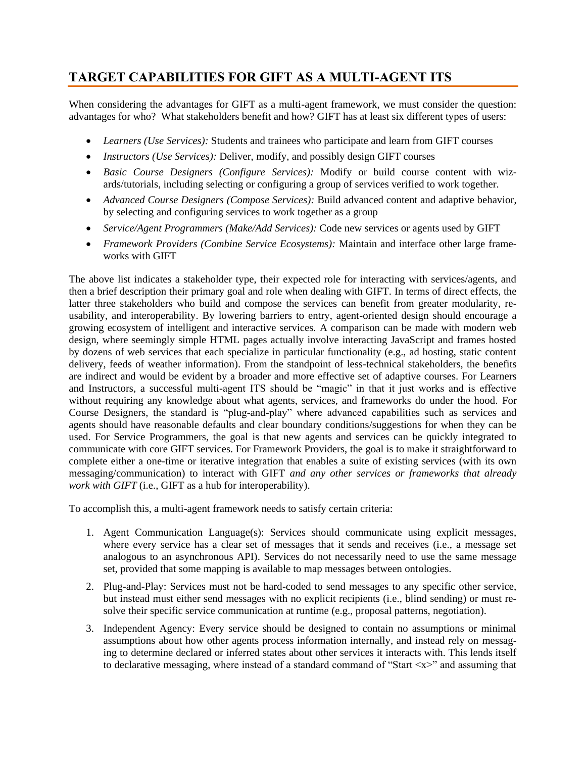# **TARGET CAPABILITIES FOR GIFT AS A MULTI-AGENT ITS**

When considering the advantages for GIFT as a multi-agent framework, we must consider the question: advantages for who? What stakeholders benefit and how? GIFT has at least six different types of users:

- *Learners (Use Services):* Students and trainees who participate and learn from GIFT courses
- *Instructors (Use Services):* Deliver, modify, and possibly design GIFT courses
- *Basic Course Designers (Configure Services):* Modify or build course content with wizards/tutorials, including selecting or configuring a group of services verified to work together.
- *Advanced Course Designers (Compose Services):* Build advanced content and adaptive behavior, by selecting and configuring services to work together as a group
- *Service/Agent Programmers (Make/Add Services):* Code new services or agents used by GIFT
- *Framework Providers (Combine Service Ecosystems):* Maintain and interface other large frameworks with GIFT

The above list indicates a stakeholder type, their expected role for interacting with services/agents, and then a brief description their primary goal and role when dealing with GIFT. In terms of direct effects, the latter three stakeholders who build and compose the services can benefit from greater modularity, reusability, and interoperability. By lowering barriers to entry, agent-oriented design should encourage a growing ecosystem of intelligent and interactive services. A comparison can be made with modern web design, where seemingly simple HTML pages actually involve interacting JavaScript and frames hosted by dozens of web services that each specialize in particular functionality (e.g., ad hosting, static content delivery, feeds of weather information). From the standpoint of less-technical stakeholders, the benefits are indirect and would be evident by a broader and more effective set of adaptive courses. For Learners and Instructors, a successful multi-agent ITS should be "magic" in that it just works and is effective without requiring any knowledge about what agents, services, and frameworks do under the hood. For Course Designers, the standard is "plug-and-play" where advanced capabilities such as services and agents should have reasonable defaults and clear boundary conditions/suggestions for when they can be used. For Service Programmers, the goal is that new agents and services can be quickly integrated to communicate with core GIFT services. For Framework Providers, the goal is to make it straightforward to complete either a one-time or iterative integration that enables a suite of existing services (with its own messaging/communication) to interact with GIFT *and any other services or frameworks that already work with GIFT* (i.e., GIFT as a hub for interoperability).

To accomplish this, a multi-agent framework needs to satisfy certain criteria:

- 1. Agent Communication Language(s): Services should communicate using explicit messages, where every service has a clear set of messages that it sends and receives (i.e., a message set analogous to an asynchronous API). Services do not necessarily need to use the same message set, provided that some mapping is available to map messages between ontologies.
- 2. Plug-and-Play: Services must not be hard-coded to send messages to any specific other service, but instead must either send messages with no explicit recipients (i.e., blind sending) or must resolve their specific service communication at runtime (e.g., proposal patterns, negotiation).
- 3. Independent Agency: Every service should be designed to contain no assumptions or minimal assumptions about how other agents process information internally, and instead rely on messaging to determine declared or inferred states about other services it interacts with. This lends itself to declarative messaging, where instead of a standard command of "Start  $\langle x \rangle$ " and assuming that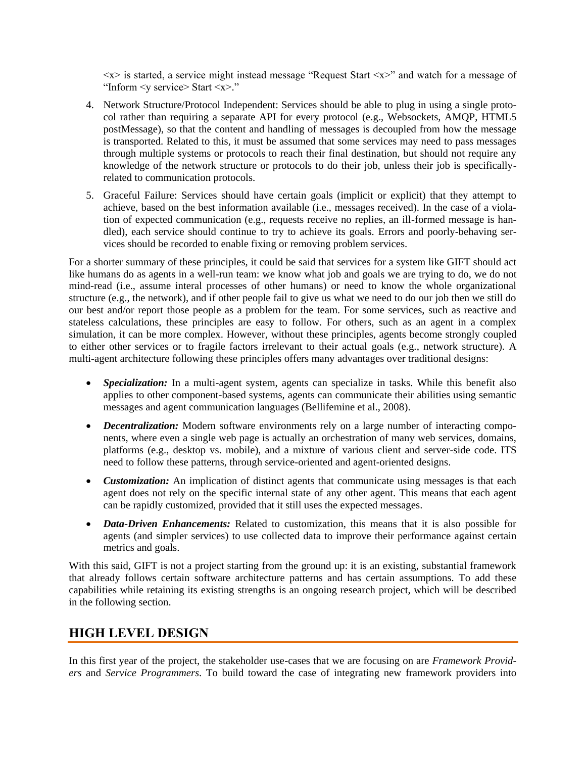$\langle x \rangle$  is started, a service might instead message "Request Start  $\langle x \rangle$ " and watch for a message of "Inform <y service> Start <x>."

- 4. Network Structure/Protocol Independent: Services should be able to plug in using a single protocol rather than requiring a separate API for every protocol (e.g., Websockets, AMQP, HTML5 postMessage), so that the content and handling of messages is decoupled from how the message is transported. Related to this, it must be assumed that some services may need to pass messages through multiple systems or protocols to reach their final destination, but should not require any knowledge of the network structure or protocols to do their job, unless their job is specificallyrelated to communication protocols.
- 5. Graceful Failure: Services should have certain goals (implicit or explicit) that they attempt to achieve, based on the best information available (i.e., messages received). In the case of a violation of expected communication (e.g., requests receive no replies, an ill-formed message is handled), each service should continue to try to achieve its goals. Errors and poorly-behaving services should be recorded to enable fixing or removing problem services.

For a shorter summary of these principles, it could be said that services for a system like GIFT should act like humans do as agents in a well-run team: we know what job and goals we are trying to do, we do not mind-read (i.e., assume interal processes of other humans) or need to know the whole organizational structure (e.g., the network), and if other people fail to give us what we need to do our job then we still do our best and/or report those people as a problem for the team. For some services, such as reactive and stateless calculations, these principles are easy to follow. For others, such as an agent in a complex simulation, it can be more complex. However, without these principles, agents become strongly coupled to either other services or to fragile factors irrelevant to their actual goals (e.g., network structure). A multi-agent architecture following these principles offers many advantages over traditional designs:

- *Specialization:* In a multi-agent system, agents can specialize in tasks. While this benefit also applies to other component-based systems, agents can communicate their abilities using semantic messages and agent communication languages (Bellifemine et al., 2008).
- *Decentralization:* Modern software environments rely on a large number of interacting components, where even a single web page is actually an orchestration of many web services, domains, platforms (e.g., desktop vs. mobile), and a mixture of various client and server-side code. ITS need to follow these patterns, through service-oriented and agent-oriented designs.
- *Customization:* An implication of distinct agents that communicate using messages is that each agent does not rely on the specific internal state of any other agent. This means that each agent can be rapidly customized, provided that it still uses the expected messages.
- *Data-Driven Enhancements:* Related to customization, this means that it is also possible for agents (and simpler services) to use collected data to improve their performance against certain metrics and goals.

With this said, GIFT is not a project starting from the ground up: it is an existing, substantial framework that already follows certain software architecture patterns and has certain assumptions. To add these capabilities while retaining its existing strengths is an ongoing research project, which will be described in the following section.

### **HIGH LEVEL DESIGN**

In this first year of the project, the stakeholder use-cases that we are focusing on are *Framework Providers* and *Service Programmers*. To build toward the case of integrating new framework providers into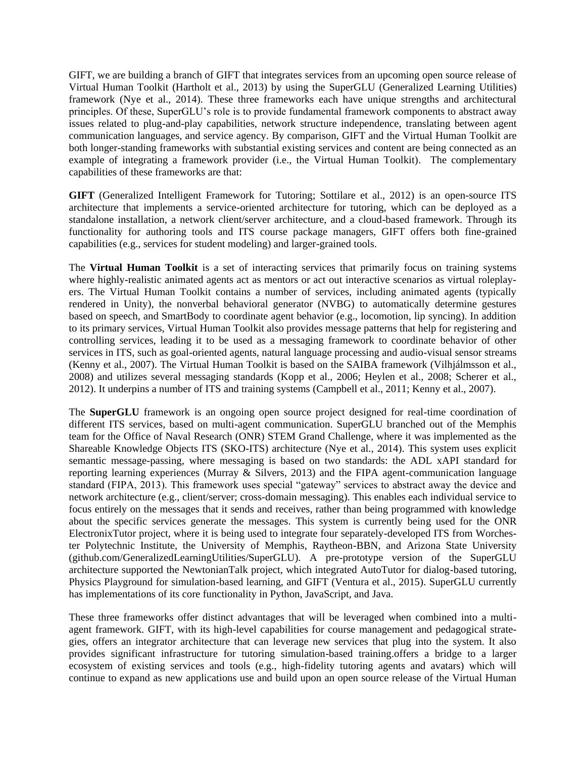GIFT, we are building a branch of GIFT that integrates services from an upcoming open source release of Virtual Human Toolkit (Hartholt et al., 2013) by using the SuperGLU (Generalized Learning Utilities) framework (Nye et al., 2014). These three frameworks each have unique strengths and architectural principles. Of these, SuperGLU's role is to provide fundamental framework components to abstract away issues related to plug-and-play capabilities, network structure independence, translating between agent communication languages, and service agency. By comparison, GIFT and the Virtual Human Toolkit are both longer-standing frameworks with substantial existing services and content are being connected as an example of integrating a framework provider (i.e., the Virtual Human Toolkit). The complementary capabilities of these frameworks are that:

**GIFT** (Generalized Intelligent Framework for Tutoring; Sottilare et al., 2012) is an open-source ITS architecture that implements a service-oriented architecture for tutoring, which can be deployed as a standalone installation, a network client/server architecture, and a cloud-based framework. Through its functionality for authoring tools and ITS course package managers, GIFT offers both fine-grained capabilities (e.g., services for student modeling) and larger-grained tools.

The **Virtual Human Toolkit** is a set of interacting services that primarily focus on training systems where highly-realistic animated agents act as mentors or act out interactive scenarios as virtual roleplayers. The Virtual Human Toolkit contains a number of services, including animated agents (typically rendered in Unity), the nonverbal behavioral generator (NVBG) to automatically determine gestures based on speech, and SmartBody to coordinate agent behavior (e.g., locomotion, lip syncing). In addition to its primary services, Virtual Human Toolkit also provides message patterns that help for registering and controlling services, leading it to be used as a messaging framework to coordinate behavior of other services in ITS, such as goal-oriented agents, natural language processing and audio-visual sensor streams (Kenny et al., 2007). The Virtual Human Toolkit is based on the SAIBA framework (Vilhjálmsson et al., 2008) and utilizes several messaging standards (Kopp et al., 2006; Heylen et al., 2008; Scherer et al., 2012). It underpins a number of ITS and training systems (Campbell et al., 2011; Kenny et al., 2007).

The **SuperGLU** framework is an ongoing open source project designed for real-time coordination of different ITS services, based on multi-agent communication. SuperGLU branched out of the Memphis team for the Office of Naval Research (ONR) STEM Grand Challenge, where it was implemented as the Shareable Knowledge Objects ITS (SKO-ITS) architecture (Nye et al., 2014). This system uses explicit semantic message-passing, where messaging is based on two standards: the ADL xAPI standard for reporting learning experiences (Murray & Silvers, 2013) and the FIPA agent-communication language standard (FIPA, 2013). This framework uses special "gateway" services to abstract away the device and network architecture (e.g., client/server; cross-domain messaging). This enables each individual service to focus entirely on the messages that it sends and receives, rather than being programmed with knowledge about the specific services generate the messages. This system is currently being used for the ONR ElectronixTutor project, where it is being used to integrate four separately-developed ITS from Worchester Polytechnic Institute, the University of Memphis, Raytheon-BBN, and Arizona State University (github.com/GeneralizedLearningUtilities/SuperGLU). A pre-prototype version of the SuperGLU architecture supported the NewtonianTalk project, which integrated AutoTutor for dialog-based tutoring, Physics Playground for simulation-based learning, and GIFT (Ventura et al., 2015). SuperGLU currently has implementations of its core functionality in Python, JavaScript, and Java.

These three frameworks offer distinct advantages that will be leveraged when combined into a multiagent framework. GIFT, with its high-level capabilities for course management and pedagogical strategies, offers an integrator architecture that can leverage new services that plug into the system. It also provides significant infrastructure for tutoring simulation-based training.offers a bridge to a larger ecosystem of existing services and tools (e.g., high-fidelity tutoring agents and avatars) which will continue to expand as new applications use and build upon an open source release of the Virtual Human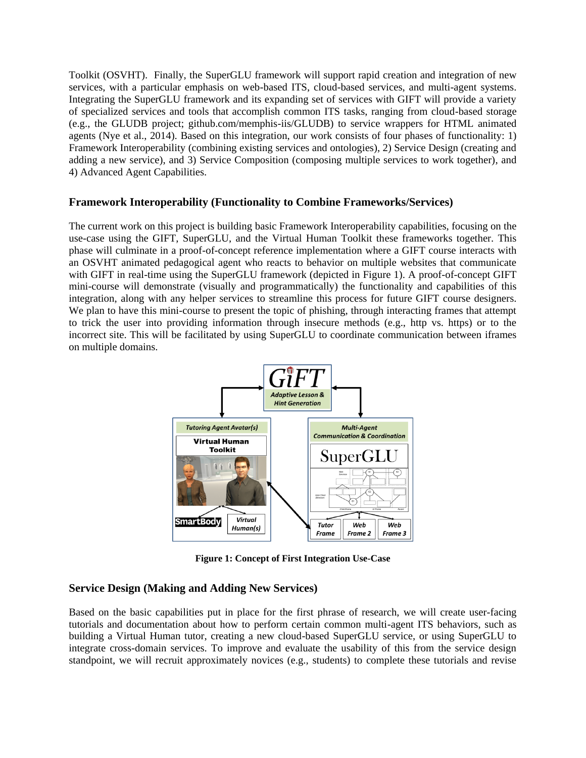Toolkit (OSVHT). Finally, the SuperGLU framework will support rapid creation and integration of new services, with a particular emphasis on web-based ITS, cloud-based services, and multi-agent systems. Integrating the SuperGLU framework and its expanding set of services with GIFT will provide a variety of specialized services and tools that accomplish common ITS tasks, ranging from cloud-based storage (e.g., the GLUDB project; github.com/memphis-iis/GLUDB) to service wrappers for HTML animated agents (Nye et al., 2014). Based on this integration, our work consists of four phases of functionality: 1) Framework Interoperability (combining existing services and ontologies), 2) Service Design (creating and adding a new service), and 3) Service Composition (composing multiple services to work together), and 4) Advanced Agent Capabilities.

### **Framework Interoperability (Functionality to Combine Frameworks/Services)**

The current work on this project is building basic Framework Interoperability capabilities, focusing on the use-case using the GIFT, SuperGLU, and the Virtual Human Toolkit these frameworks together. This phase will culminate in a proof-of-concept reference implementation where a GIFT course interacts with an OSVHT animated pedagogical agent who reacts to behavior on multiple websites that communicate with GIFT in real-time using the SuperGLU framework (depicted in Figure 1). A proof-of-concept GIFT mini-course will demonstrate (visually and programmatically) the functionality and capabilities of this integration, along with any helper services to streamline this process for future GIFT course designers. We plan to have this mini-course to present the topic of phishing, through interacting frames that attempt to trick the user into providing information through insecure methods (e.g., http vs. https) or to the incorrect site. This will be facilitated by using SuperGLU to coordinate communication between iframes on multiple domains.



**Figure 1: Concept of First Integration Use-Case**

### **Service Design (Making and Adding New Services)**

Based on the basic capabilities put in place for the first phrase of research, we will create user-facing tutorials and documentation about how to perform certain common multi-agent ITS behaviors, such as building a Virtual Human tutor, creating a new cloud-based SuperGLU service, or using SuperGLU to integrate cross-domain services. To improve and evaluate the usability of this from the service design standpoint, we will recruit approximately novices (e.g., students) to complete these tutorials and revise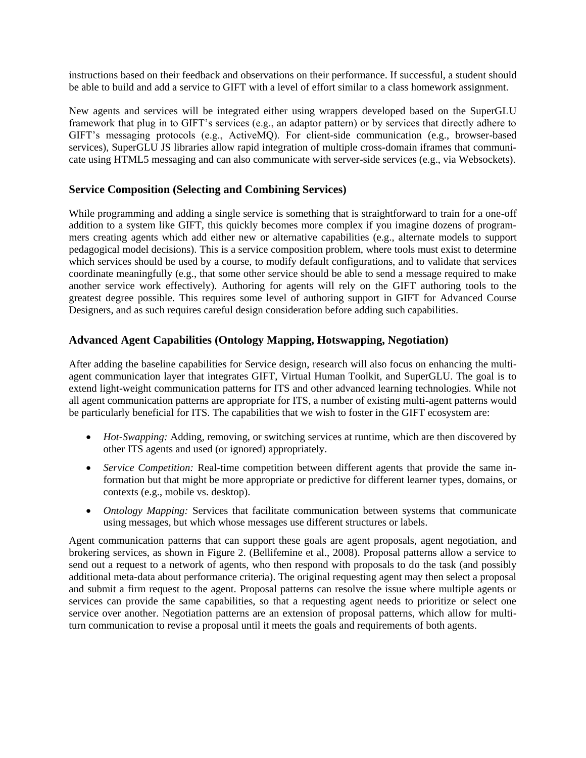instructions based on their feedback and observations on their performance. If successful, a student should be able to build and add a service to GIFT with a level of effort similar to a class homework assignment.

New agents and services will be integrated either using wrappers developed based on the SuperGLU framework that plug in to GIFT's services (e.g., an adaptor pattern) or by services that directly adhere to GIFT's messaging protocols (e.g., ActiveMQ). For client-side communication (e.g., browser-based services), SuperGLU JS libraries allow rapid integration of multiple cross-domain iframes that communicate using HTML5 messaging and can also communicate with server-side services (e.g., via Websockets).

### **Service Composition (Selecting and Combining Services)**

While programming and adding a single service is something that is straightforward to train for a one-off addition to a system like GIFT, this quickly becomes more complex if you imagine dozens of programmers creating agents which add either new or alternative capabilities (e.g., alternate models to support pedagogical model decisions). This is a service composition problem, where tools must exist to determine which services should be used by a course, to modify default configurations, and to validate that services coordinate meaningfully (e.g., that some other service should be able to send a message required to make another service work effectively). Authoring for agents will rely on the GIFT authoring tools to the greatest degree possible. This requires some level of authoring support in GIFT for Advanced Course Designers, and as such requires careful design consideration before adding such capabilities.

### **Advanced Agent Capabilities (Ontology Mapping, Hotswapping, Negotiation)**

After adding the baseline capabilities for Service design, research will also focus on enhancing the multiagent communication layer that integrates GIFT, Virtual Human Toolkit, and SuperGLU. The goal is to extend light-weight communication patterns for ITS and other advanced learning technologies. While not all agent communication patterns are appropriate for ITS, a number of existing multi-agent patterns would be particularly beneficial for ITS. The capabilities that we wish to foster in the GIFT ecosystem are:

- *Hot-Swapping:* Adding, removing, or switching services at runtime, which are then discovered by other ITS agents and used (or ignored) appropriately.
- *Service Competition:* Real-time competition between different agents that provide the same information but that might be more appropriate or predictive for different learner types, domains, or contexts (e.g., mobile vs. desktop).
- *Ontology Mapping:* Services that facilitate communication between systems that communicate using messages, but which whose messages use different structures or labels.

Agent communication patterns that can support these goals are agent proposals, agent negotiation, and brokering services, as shown in Figure 2. (Bellifemine et al., 2008). Proposal patterns allow a service to send out a request to a network of agents, who then respond with proposals to do the task (and possibly additional meta-data about performance criteria). The original requesting agent may then select a proposal and submit a firm request to the agent. Proposal patterns can resolve the issue where multiple agents or services can provide the same capabilities, so that a requesting agent needs to prioritize or select one service over another. Negotiation patterns are an extension of proposal patterns, which allow for multiturn communication to revise a proposal until it meets the goals and requirements of both agents.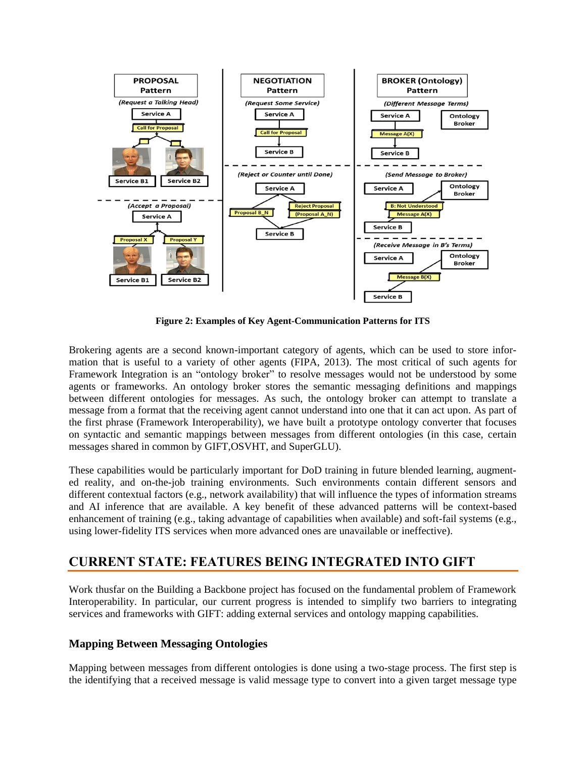

**Figure 2: Examples of Key Agent-Communication Patterns for ITS**

Brokering agents are a second known-important category of agents, which can be used to store information that is useful to a variety of other agents (FIPA, 2013). The most critical of such agents for Framework Integration is an "ontology broker" to resolve messages would not be understood by some agents or frameworks. An ontology broker stores the semantic messaging definitions and mappings between different ontologies for messages. As such, the ontology broker can attempt to translate a message from a format that the receiving agent cannot understand into one that it can act upon. As part of the first phrase (Framework Interoperability), we have built a prototype ontology converter that focuses on syntactic and semantic mappings between messages from different ontologies (in this case, certain messages shared in common by GIFT,OSVHT, and SuperGLU).

These capabilities would be particularly important for DoD training in future blended learning, augmented reality, and on-the-job training environments. Such environments contain different sensors and different contextual factors (e.g., network availability) that will influence the types of information streams and AI inference that are available. A key benefit of these advanced patterns will be context-based enhancement of training (e.g., taking advantage of capabilities when available) and soft-fail systems (e.g., using lower-fidelity ITS services when more advanced ones are unavailable or ineffective).

### **CURRENT STATE: FEATURES BEING INTEGRATED INTO GIFT**

Work thusfar on the Building a Backbone project has focused on the fundamental problem of Framework Interoperability. In particular, our current progress is intended to simplify two barriers to integrating services and frameworks with GIFT: adding external services and ontology mapping capabilities.

### **Mapping Between Messaging Ontologies**

Mapping between messages from different ontologies is done using a two-stage process. The first step is the identifying that a received message is valid message type to convert into a given target message type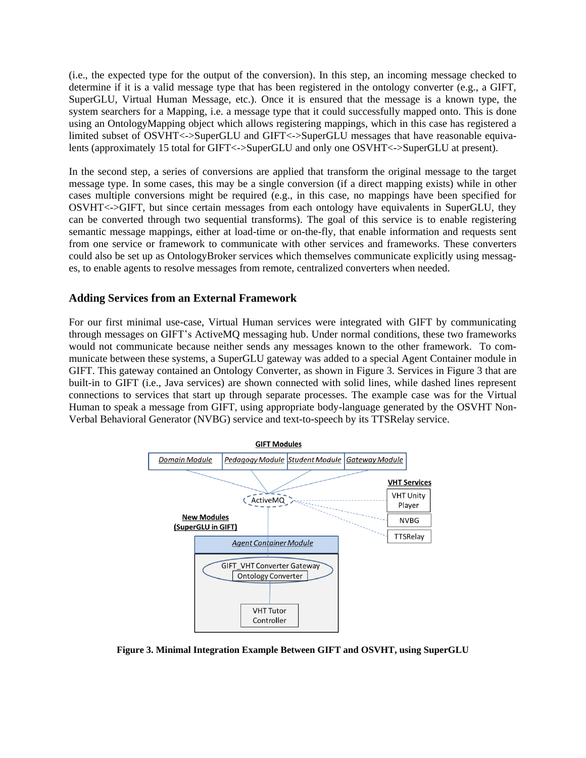(i.e., the expected type for the output of the conversion). In this step, an incoming message checked to determine if it is a valid message type that has been registered in the ontology converter (e.g., a GIFT, SuperGLU, Virtual Human Message, etc.). Once it is ensured that the message is a known type, the system searchers for a Mapping, i.e. a message type that it could successfully mapped onto. This is done using an OntologyMapping object which allows registering mappings, which in this case has registered a limited subset of OSVHT<->SuperGLU and GIFT<->SuperGLU messages that have reasonable equivalents (approximately 15 total for GIFT<->SuperGLU and only one OSVHT<->SuperGLU at present).

In the second step, a series of conversions are applied that transform the original message to the target message type. In some cases, this may be a single conversion (if a direct mapping exists) while in other cases multiple conversions might be required (e.g., in this case, no mappings have been specified for OSVHT<->GIFT, but since certain messages from each ontology have equivalents in SuperGLU, they can be converted through two sequential transforms). The goal of this service is to enable registering semantic message mappings, either at load-time or on-the-fly, that enable information and requests sent from one service or framework to communicate with other services and frameworks. These converters could also be set up as OntologyBroker services which themselves communicate explicitly using messages, to enable agents to resolve messages from remote, centralized converters when needed.

#### **Adding Services from an External Framework**

For our first minimal use-case, Virtual Human services were integrated with GIFT by communicating through messages on GIFT's ActiveMQ messaging hub. Under normal conditions, these two frameworks would not communicate because neither sends any messages known to the other framework. To communicate between these systems, a SuperGLU gateway was added to a special Agent Container module in GIFT. This gateway contained an Ontology Converter, as shown in Figure 3. Services in Figure 3 that are built-in to GIFT (i.e., Java services) are shown connected with solid lines, while dashed lines represent connections to services that start up through separate processes. The example case was for the Virtual Human to speak a message from GIFT, using appropriate body-language generated by the OSVHT Non-Verbal Behavioral Generator (NVBG) service and text-to-speech by its TTSRelay service.



**Figure 3. Minimal Integration Example Between GIFT and OSVHT, using SuperGLU**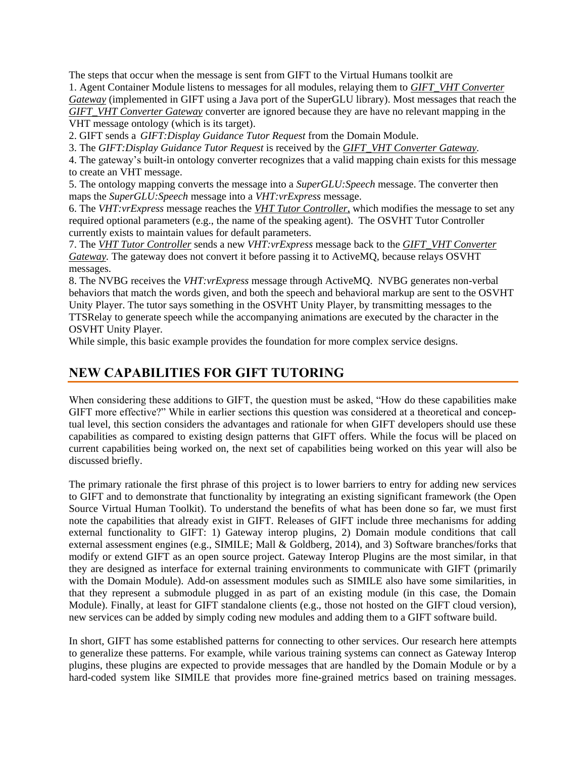The steps that occur when the message is sent from GIFT to the Virtual Humans toolkit are 1. Agent Container Module listens to messages for all modules, relaying them to *GIFT\_VHT Converter Gateway* (implemented in GIFT using a Java port of the SuperGLU library). Most messages that reach the *GIFT\_VHT Converter Gateway* converter are ignored because they are have no relevant mapping in the VHT message ontology (which is its target).

2. GIFT sends a *GIFT:Display Guidance Tutor Request* from the Domain Module.

3. The *GIFT:Display Guidance Tutor Request* is received by the *GIFT\_VHT Converter Gateway.*

4. The gateway's built-in ontology converter recognizes that a valid mapping chain exists for this message to create an VHT message.

5. The ontology mapping converts the message into a *SuperGLU:Speech* message. The converter then maps the *SuperGLU:Speech* message into a *VHT:vrExpress* message.

6. The *VHT:vrExpress* message reaches the *VHT Tutor Controller*, which modifies the message to set any required optional parameters (e.g., the name of the speaking agent). The OSVHT Tutor Controller currently exists to maintain values for default parameters.

7. The *VHT Tutor Controller* sends a new *VHT:vrExpress* message back to the *GIFT\_VHT Converter Gateway.* The gateway does not convert it before passing it to ActiveMQ, because relays OSVHT messages.

8. The NVBG receives the *VHT:vrExpress* message through ActiveMQ. NVBG generates non-verbal behaviors that match the words given, and both the speech and behavioral markup are sent to the OSVHT Unity Player. The tutor says something in the OSVHT Unity Player, by transmitting messages to the TTSRelay to generate speech while the accompanying animations are executed by the character in the OSVHT Unity Player.

While simple, this basic example provides the foundation for more complex service designs.

### **NEW CAPABILITIES FOR GIFT TUTORING**

When considering these additions to GIFT, the question must be asked, "How do these capabilities make GIFT more effective?" While in earlier sections this question was considered at a theoretical and conceptual level, this section considers the advantages and rationale for when GIFT developers should use these capabilities as compared to existing design patterns that GIFT offers. While the focus will be placed on current capabilities being worked on, the next set of capabilities being worked on this year will also be discussed briefly.

The primary rationale the first phrase of this project is to lower barriers to entry for adding new services to GIFT and to demonstrate that functionality by integrating an existing significant framework (the Open Source Virtual Human Toolkit). To understand the benefits of what has been done so far, we must first note the capabilities that already exist in GIFT. Releases of GIFT include three mechanisms for adding external functionality to GIFT: 1) Gateway interop plugins, 2) Domain module conditions that call external assessment engines (e.g., SIMILE; Mall & Goldberg, 2014), and 3) Software branches/forks that modify or extend GIFT as an open source project. Gateway Interop Plugins are the most similar, in that they are designed as interface for external training environments to communicate with GIFT (primarily with the Domain Module). Add-on assessment modules such as SIMILE also have some similarities, in that they represent a submodule plugged in as part of an existing module (in this case, the Domain Module). Finally, at least for GIFT standalone clients (e.g., those not hosted on the GIFT cloud version), new services can be added by simply coding new modules and adding them to a GIFT software build.

In short, GIFT has some established patterns for connecting to other services. Our research here attempts to generalize these patterns. For example, while various training systems can connect as Gateway Interop plugins, these plugins are expected to provide messages that are handled by the Domain Module or by a hard-coded system like SIMILE that provides more fine-grained metrics based on training messages.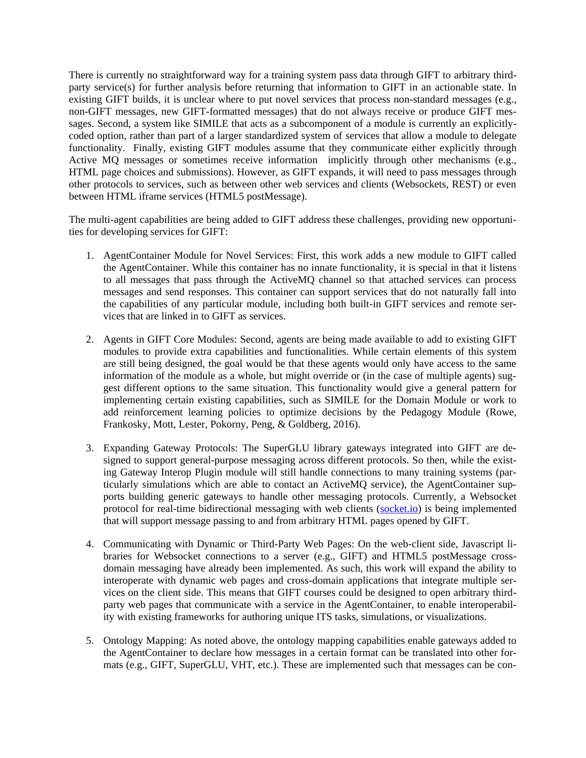There is currently no straightforward way for a training system pass data through GIFT to arbitrary thirdparty service(s) for further analysis before returning that information to GIFT in an actionable state. In existing GIFT builds, it is unclear where to put novel services that process non-standard messages (e.g., non-GIFT messages, new GIFT-formatted messages) that do not always receive or produce GIFT messages. Second, a system like SIMILE that acts as a subcomponent of a module is currently an explicitlycoded option, rather than part of a larger standardized system of services that allow a module to delegate functionality. Finally, existing GIFT modules assume that they communicate either explicitly through Active MQ messages or sometimes receive information implicitly through other mechanisms (e.g., HTML page choices and submissions). However, as GIFT expands, it will need to pass messages through other protocols to services, such as between other web services and clients (Websockets, REST) or even between HTML iframe services (HTML5 postMessage).

The multi-agent capabilities are being added to GIFT address these challenges, providing new opportunities for developing services for GIFT:

- 1. AgentContainer Module for Novel Services: First, this work adds a new module to GIFT called the AgentContainer. While this container has no innate functionality, it is special in that it listens to all messages that pass through the ActiveMQ channel so that attached services can process messages and send responses. This container can support services that do not naturally fall into the capabilities of any particular module, including both built-in GIFT services and remote services that are linked in to GIFT as services.
- 2. Agents in GIFT Core Modules: Second, agents are being made available to add to existing GIFT modules to provide extra capabilities and functionalities. While certain elements of this system are still being designed, the goal would be that these agents would only have access to the same information of the module as a whole, but might override or (in the case of multiple agents) suggest different options to the same situation. This functionality would give a general pattern for implementing certain existing capabilities, such as SIMILE for the Domain Module or work to add reinforcement learning policies to optimize decisions by the Pedagogy Module (Rowe, Frankosky, Mott, Lester, Pokorny, Peng, & Goldberg, 2016).
- 3. Expanding Gateway Protocols: The SuperGLU library gateways integrated into GIFT are designed to support general-purpose messaging across different protocols. So then, while the existing Gateway Interop Plugin module will still handle connections to many training systems (particularly simulations which are able to contact an ActiveMQ service), the AgentContainer supports building generic gateways to handle other messaging protocols. Currently, a Websocket protocol for real-time bidirectional messaging with web clients [\(socket.io\)](http://socket.io/) is being implemented that will support message passing to and from arbitrary HTML pages opened by GIFT.
- 4. Communicating with Dynamic or Third-Party Web Pages: On the web-client side, Javascript libraries for Websocket connections to a server (e.g., GIFT) and HTML5 postMessage crossdomain messaging have already been implemented. As such, this work will expand the ability to interoperate with dynamic web pages and cross-domain applications that integrate multiple services on the client side. This means that GIFT courses could be designed to open arbitrary thirdparty web pages that communicate with a service in the AgentContainer, to enable interoperability with existing frameworks for authoring unique ITS tasks, simulations, or visualizations.
- 5. Ontology Mapping: As noted above, the ontology mapping capabilities enable gateways added to the AgentContainer to declare how messages in a certain format can be translated into other formats (e.g., GIFT, SuperGLU, VHT, etc.). These are implemented such that messages can be con-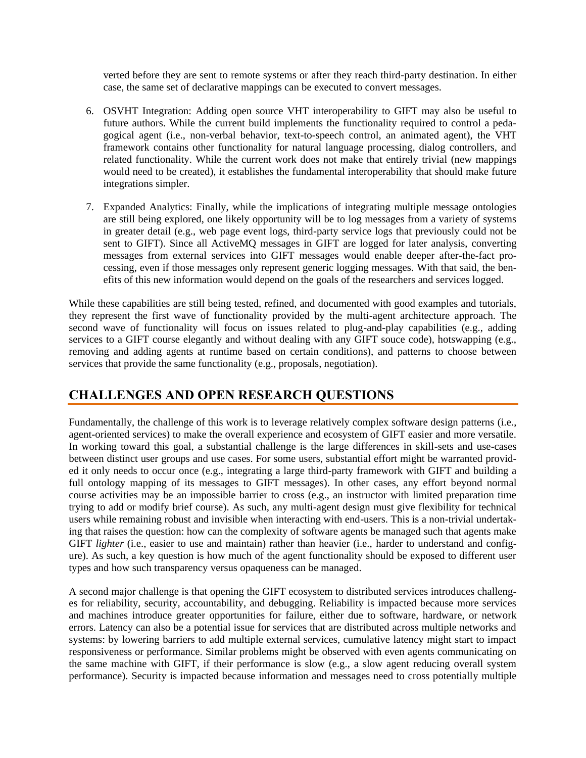verted before they are sent to remote systems or after they reach third-party destination. In either case, the same set of declarative mappings can be executed to convert messages.

- 6. OSVHT Integration: Adding open source VHT interoperability to GIFT may also be useful to future authors. While the current build implements the functionality required to control a pedagogical agent (i.e., non-verbal behavior, text-to-speech control, an animated agent), the VHT framework contains other functionality for natural language processing, dialog controllers, and related functionality. While the current work does not make that entirely trivial (new mappings would need to be created), it establishes the fundamental interoperability that should make future integrations simpler.
- 7. Expanded Analytics: Finally, while the implications of integrating multiple message ontologies are still being explored, one likely opportunity will be to log messages from a variety of systems in greater detail (e.g., web page event logs, third-party service logs that previously could not be sent to GIFT). Since all ActiveMQ messages in GIFT are logged for later analysis, converting messages from external services into GIFT messages would enable deeper after-the-fact processing, even if those messages only represent generic logging messages. With that said, the benefits of this new information would depend on the goals of the researchers and services logged.

While these capabilities are still being tested, refined, and documented with good examples and tutorials, they represent the first wave of functionality provided by the multi-agent architecture approach. The second wave of functionality will focus on issues related to plug-and-play capabilities (e.g., adding services to a GIFT course elegantly and without dealing with any GIFT souce code), hotswapping (e.g., removing and adding agents at runtime based on certain conditions), and patterns to choose between services that provide the same functionality (e.g., proposals, negotiation).

### **CHALLENGES AND OPEN RESEARCH QUESTIONS**

Fundamentally, the challenge of this work is to leverage relatively complex software design patterns (i.e., agent-oriented services) to make the overall experience and ecosystem of GIFT easier and more versatile. In working toward this goal, a substantial challenge is the large differences in skill-sets and use-cases between distinct user groups and use cases. For some users, substantial effort might be warranted provided it only needs to occur once (e.g., integrating a large third-party framework with GIFT and building a full ontology mapping of its messages to GIFT messages). In other cases, any effort beyond normal course activities may be an impossible barrier to cross (e.g., an instructor with limited preparation time trying to add or modify brief course). As such, any multi-agent design must give flexibility for technical users while remaining robust and invisible when interacting with end-users. This is a non-trivial undertaking that raises the question: how can the complexity of software agents be managed such that agents make GIFT *lighter* (i.e., easier to use and maintain) rather than heavier (i.e., harder to understand and configure). As such, a key question is how much of the agent functionality should be exposed to different user types and how such transparency versus opaqueness can be managed.

A second major challenge is that opening the GIFT ecosystem to distributed services introduces challenges for reliability, security, accountability, and debugging. Reliability is impacted because more services and machines introduce greater opportunities for failure, either due to software, hardware, or network errors. Latency can also be a potential issue for services that are distributed across multiple networks and systems: by lowering barriers to add multiple external services, cumulative latency might start to impact responsiveness or performance. Similar problems might be observed with even agents communicating on the same machine with GIFT, if their performance is slow (e.g., a slow agent reducing overall system performance). Security is impacted because information and messages need to cross potentially multiple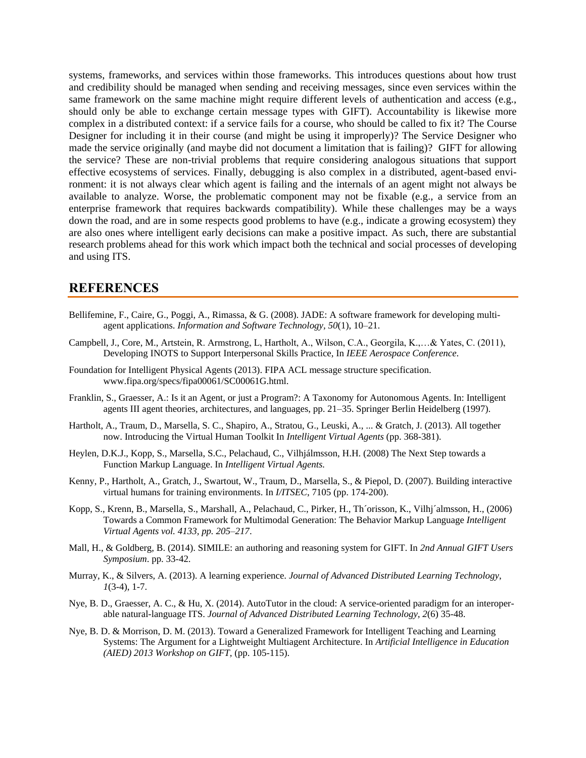systems, frameworks, and services within those frameworks. This introduces questions about how trust and credibility should be managed when sending and receiving messages, since even services within the same framework on the same machine might require different levels of authentication and access (e.g., should only be able to exchange certain message types with GIFT). Accountability is likewise more complex in a distributed context: if a service fails for a course, who should be called to fix it? The Course Designer for including it in their course (and might be using it improperly)? The Service Designer who made the service originally (and maybe did not document a limitation that is failing)? GIFT for allowing the service? These are non-trivial problems that require considering analogous situations that support effective ecosystems of services. Finally, debugging is also complex in a distributed, agent-based environment: it is not always clear which agent is failing and the internals of an agent might not always be available to analyze. Worse, the problematic component may not be fixable (e.g., a service from an enterprise framework that requires backwards compatibility). While these challenges may be a ways down the road, and are in some respects good problems to have (e.g., indicate a growing ecosystem) they are also ones where intelligent early decisions can make a positive impact. As such, there are substantial research problems ahead for this work which impact both the technical and social processes of developing and using ITS.

### **REFERENCES**

- Bellifemine, F., Caire, G., Poggi, A., Rimassa, & G. (2008). JADE: A software framework for developing multiagent applications. *Information and Software Technology, 50*(1), 10–21.
- Campbell, J., Core, M., Artstein, R. Armstrong, L, Hartholt, A., Wilson, C.A., Georgila, K.,…& Yates, C. (2011), Developing INOTS to Support Interpersonal Skills Practice, In *IEEE Aerospace Conference*.
- Foundation for Intelligent Physical Agents (2013). FIPA ACL message structure specification. www.fipa.org/specs/fipa00061/SC00061G.html.
- Franklin, S., Graesser, A.: Is it an Agent, or just a Program?: A Taxonomy for Autonomous Agents. In: Intelligent agents III agent theories, architectures, and languages, pp. 21–35. Springer Berlin Heidelberg (1997).
- Hartholt, A., Traum, D., Marsella, S. C., Shapiro, A., Stratou, G., Leuski, A., ... & Gratch, J. (2013). All together now. Introducing the Virtual Human Toolkit In *Intelligent Virtual Agents* (pp. 368-381).
- Heylen, D.K.J., Kopp, S., Marsella, S.C., Pelachaud, C., Vilhjálmsson, H.H. (2008) The Next Step towards a Function Markup Language. In *Intelligent Virtual Agents.*
- Kenny, P., Hartholt, A., Gratch, J., Swartout, W., Traum, D., Marsella, S., & Piepol, D. (2007). Building interactive virtual humans for training environments. In *I/ITSEC*, 7105 (pp. 174-200).
- Kopp, S., Krenn, B., Marsella, S., Marshall, A., Pelachaud, C., Pirker, H., Th´orisson, K., Vilhj´almsson, H., (2006) Towards a Common Framework for Multimodal Generation: The Behavior Markup Language *Intelligent Virtual Agents vol. 4133, pp. 205–217*.
- Mall, H., & Goldberg, B. (2014). SIMILE: an authoring and reasoning system for GIFT. In *2nd Annual GIFT Users Symposium*. pp. 33-42.
- Murray, K., & Silvers, A. (2013). A learning experience. *Journal of Advanced Distributed Learning Technology*, *1*(3-4), 1-7.
- Nye, B. D., Graesser, A. C., & Hu, X. (2014). AutoTutor in the cloud: A service-oriented paradigm for an interoperable natural-language ITS. *Journal of Advanced Distributed Learning Technology, 2*(6) 35-48.
- Nye, B. D. & Morrison, D. M. (2013). Toward a Generalized Framework for Intelligent Teaching and Learning Systems: The Argument for a Lightweight Multiagent Architecture. In *Artificial Intelligence in Education (AIED) 2013 Workshop on GIFT,* (pp. 105-115).